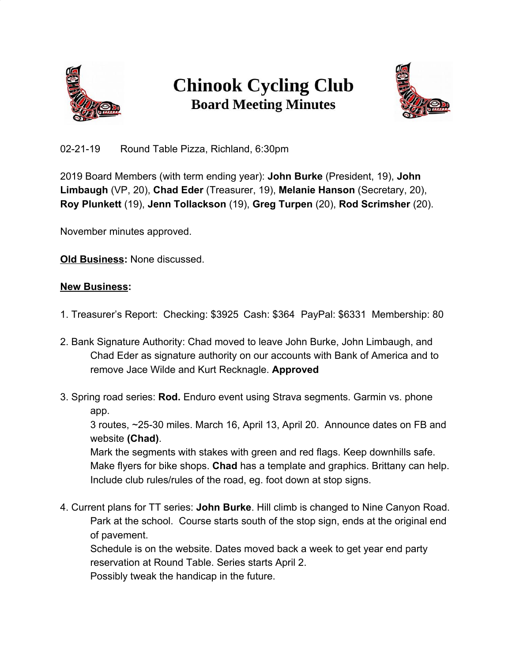

## **Chinook Cycling Club Board Meeting Minutes**



02-21-19 Round Table Pizza, Richland, 6:30pm

2019 Board Members (with term ending year): **John Burke** (President, 19), **John Limbaugh** (VP, 20), **Chad Eder** (Treasurer, 19), **Melanie Hanson** (Secretary, 20), **Roy Plunkett** (19), **Jenn Tollackson** (19), **Greg Turpen** (20), **Rod Scrimsher** (20).

November minutes approved.

**Old Business:** None discussed.

## **New Business:**

- 1. Treasurer's Report: Checking: \$3925 Cash: \$364 PayPal: \$6331 Membership: 80
- 2. Bank Signature Authority: Chad moved to leave John Burke, John Limbaugh, and Chad Eder as signature authority on our accounts with Bank of America and to remove Jace Wilde and Kurt Recknagle. **Approved**
- 3. Spring road series: **Rod.** Enduro event using Strava segments. Garmin vs. phone app.

3 routes, ~25-30 miles. March 16, April 13, April 20. Announce dates on FB and website **(Chad)**.

Mark the segments with stakes with green and red flags. Keep downhills safe. Make flyers for bike shops. **Chad** has a template and graphics. Brittany can help. Include club rules/rules of the road, eg. foot down at stop signs.

4. Current plans for TT series: **John Burke**. Hill climb is changed to Nine Canyon Road. Park at the school. Course starts south of the stop sign, ends at the original end of pavement.

Schedule is on the website. Dates moved back a week to get year end party reservation at Round Table. Series starts April 2. Possibly tweak the handicap in the future.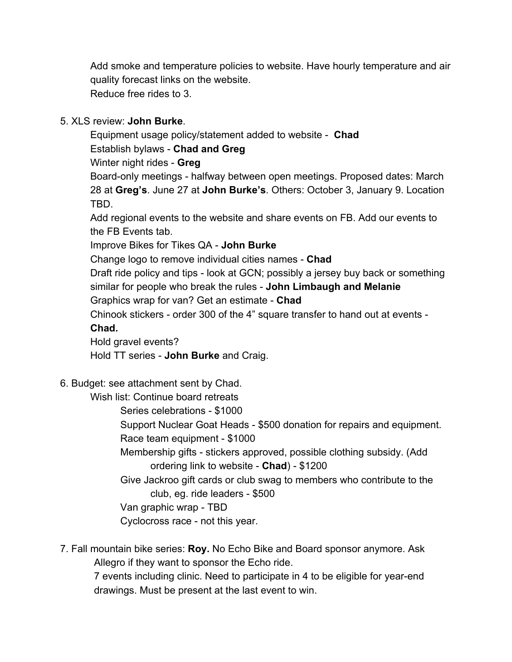Add smoke and temperature policies to website. Have hourly temperature and air quality forecast links on the website. Reduce free rides to 3.

## 5. XLS review: **John Burke**.

Equipment usage policy/statement added to website - **Chad** Establish bylaws - **Chad and Greg** Winter night rides - **Greg** Board-only meetings - halfway between open meetings. Proposed dates: March 28 at **Greg's**. June 27 at **John Burke's**. Others: October 3, January 9. Location TBD. Add regional events to the website and share events on FB. Add our events to

the FB Events tab.

Improve Bikes for Tikes QA - **John Burke**

Change logo to remove individual cities names - **Chad**

Draft ride policy and tips - look at GCN; possibly a jersey buy back or something similar for people who break the rules - **John Limbaugh and Melanie**

Graphics wrap for van? Get an estimate - **Chad**

Chinook stickers - order 300 of the 4" square transfer to hand out at events - **Chad.**

Hold gravel events?

Hold TT series - **John Burke** and Craig.

6. Budget: see attachment sent by Chad.

Wish list: Continue board retreats

Series celebrations - \$1000

Support Nuclear Goat Heads - \$500 donation for repairs and equipment. Race team equipment - \$1000

Membership gifts - stickers approved, possible clothing subsidy. (Add ordering link to website - **Chad**) - \$1200

Give Jackroo gift cards or club swag to members who contribute to the club, eg. ride leaders - \$500

Van graphic wrap - TBD

Cyclocross race - not this year.

7. Fall mountain bike series: **Roy.** No Echo Bike and Board sponsor anymore. Ask Allegro if they want to sponsor the Echo ride.

7 events including clinic. Need to participate in 4 to be eligible for year-end drawings. Must be present at the last event to win.